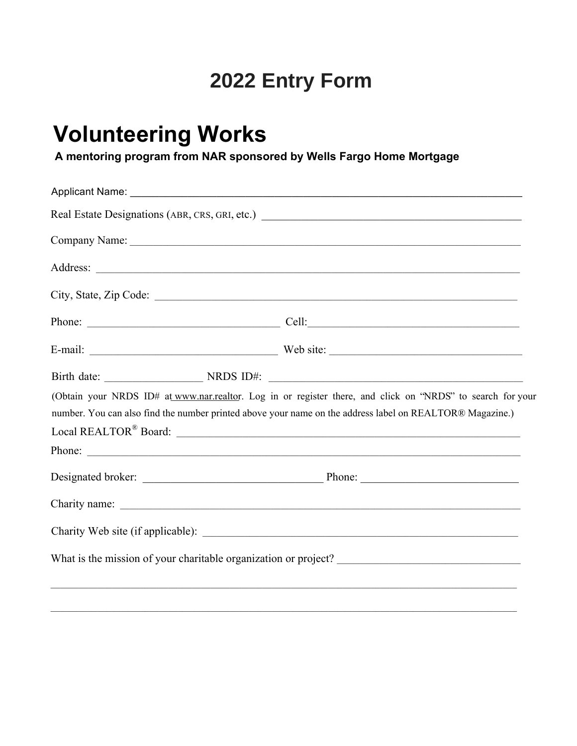# 2022 Entry Form

# **Volunteering Works**

A mentoring program from NAR sponsored by Wells Fargo Home Mortgage

| Real Estate Designations (ABR, CRS, GRI, etc.) __________________________________                         |  |
|-----------------------------------------------------------------------------------------------------------|--|
|                                                                                                           |  |
|                                                                                                           |  |
|                                                                                                           |  |
|                                                                                                           |  |
|                                                                                                           |  |
|                                                                                                           |  |
| (Obtain your NRDS ID# at www.nar.realtor. Log in or register there, and click on "NRDS" to search for you |  |
| number. You can also find the number printed above your name on the address label on REALTOR® Magazine.)  |  |
|                                                                                                           |  |
| Phone:                                                                                                    |  |
|                                                                                                           |  |
|                                                                                                           |  |
| Charity Web site (if applicable):                                                                         |  |
|                                                                                                           |  |
|                                                                                                           |  |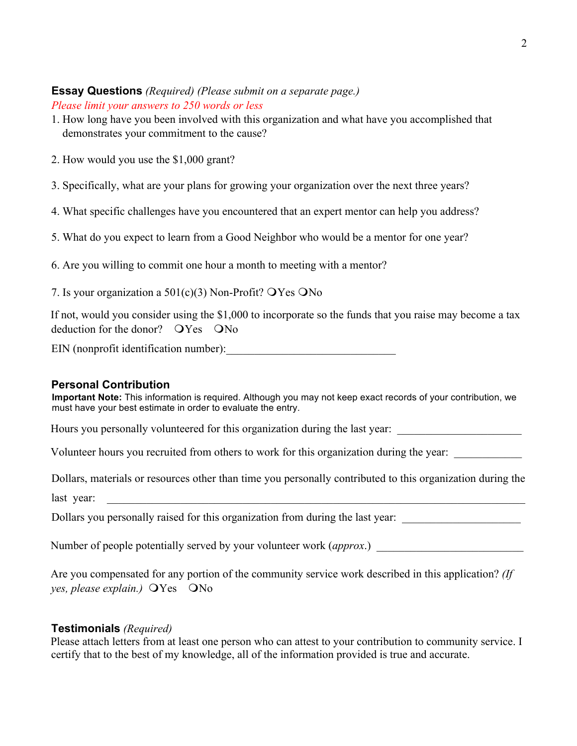## **Essay Questions** *(Required) (Please submit on a separate page.) Please limit your answers to 250 words or less*

- 1. How long have you been involved with this organization and what have you accomplished that demonstrates your commitment to the cause?
- 2. How would you use the \$1,000 grant?
- 3. Specifically, what are your plans for growing your organization over the next three years?
- 4. What specific challenges have you encountered that an expert mentor can help you address?
- 5. What do you expect to learn from a Good Neighbor who would be a mentor for one year?
- 6. Are you willing to commit one hour a month to meeting with a mentor?
- 7. Is your organization a  $501(c)(3)$  Non-Profit?  $OYes$  ONo

If not, would you consider using the \$1,000 to incorporate so the funds that you raise may become a tax deduction for the donor?  $OYes$   $ONo$ 

EIN (nonprofit identification number):

# **Personal Contribution**

**Important Note:** This information is required. Although you may not keep exact records of your contribution, we must have your best estimate in order to evaluate the entry.

Hours you personally volunteered for this organization during the last year:

Volunteer hours you recruited from others to work for this organization during the year:

Dollars, materials or resources other than time you personally contributed to this organization during the

last year:

Dollars you personally raised for this organization from during the last year:

Number of people potentially served by your volunteer work (*approx*)

Are you compensated for any portion of the community service work described in this application? *(If yes, please explain.*)  $\angle$ Yes  $\angle$ No

# **Testimonials** *(Required)*

Please attach letters from at least one person who can attest to your contribution to community service. I certify that to the best of my knowledge, all of the information provided is true and accurate.